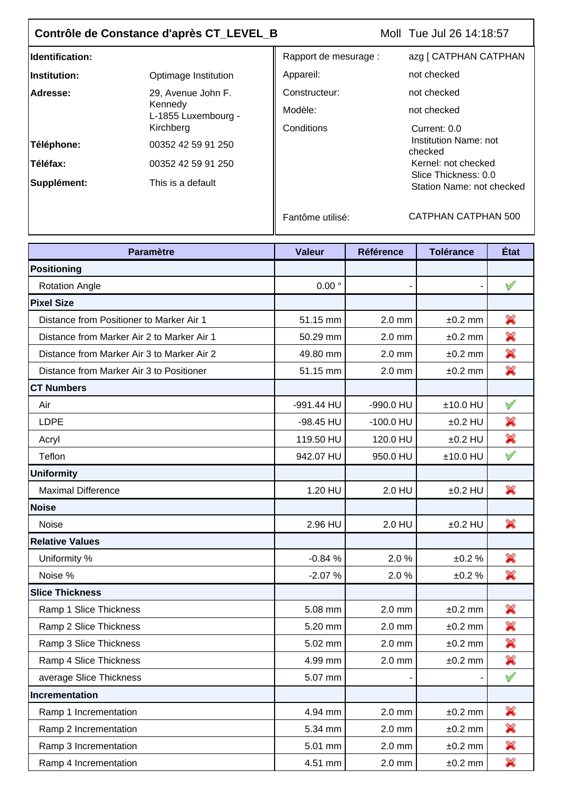## **Contrôle de Constance d'après CT\_LEVEL\_B**

Moll Tue Jul 26 14:18:57

| Identification:     |                                                      | Rapport de mesurage : | azg [ CATPHAN CATPHAN                             |
|---------------------|------------------------------------------------------|-----------------------|---------------------------------------------------|
| <b>Institution:</b> | Optimage Institution                                 | Appareil:             | not checked                                       |
| Adresse:            | 29, Avenue John F.<br>Kennedy<br>L-1855 Luxembourg - | Constructeur:         | not checked                                       |
|                     |                                                      | Modèle:               | not checked                                       |
|                     | Kirchberg                                            | Conditions            | Current: 0.0                                      |
| Téléphone:          | 00352 42 59 91 250                                   |                       | Institution Name: not<br>checked                  |
| <b>Téléfax:</b>     | 00352 42 59 91 250                                   |                       | Kernel: not checked                               |
| Supplément:         | This is a default                                    |                       | Slice Thickness: 0.0<br>Station Name: not checked |

Fantôme utilisé: CATPHAN CATPHAN 500

| <b>Paramètre</b>                           | <b>Valeur</b>     | <b>Référence</b> | <b>Tolérance</b> | État         |
|--------------------------------------------|-------------------|------------------|------------------|--------------|
| Positioning                                |                   |                  |                  |              |
| <b>Rotation Angle</b>                      | $0.00$ $^{\circ}$ |                  |                  | $\checkmark$ |
| <b>Pixel Size</b>                          |                   |                  |                  |              |
| Distance from Positioner to Marker Air 1   | 51.15 mm          | $2.0$ mm         | $±0.2$ mm        | ×            |
| Distance from Marker Air 2 to Marker Air 1 | 50.29 mm          | $2.0$ mm         | $±0.2$ mm        | X            |
| Distance from Marker Air 3 to Marker Air 2 | 49.80 mm          | $2.0$ mm         | $±0.2$ mm        | ×            |
| Distance from Marker Air 3 to Positioner   | 51.15 mm          | $2.0$ mm         | $±0.2$ mm        | ×            |
| <b>CT Numbers</b>                          |                   |                  |                  |              |
| Air                                        | -991.44 HU        | -990.0 HU        | $±10.0$ HU       | $\checkmark$ |
| <b>LDPE</b>                                | $-98.45$ HU       | $-100.0$ HU      | $±0.2$ HU        | ×            |
| Acryl                                      | 119.50 HU         | 120.0 HU         | $±0.2$ HU        | ×            |
| Teflon                                     | 942.07 HU         | 950.0 HU         | $±10.0$ HU       | $\checkmark$ |
| <b>Uniformity</b>                          |                   |                  |                  |              |
| <b>Maximal Difference</b>                  | 1.20 HU           | 2.0 HU           | $±0.2$ HU        | X            |
| <b>Noise</b>                               |                   |                  |                  |              |
| <b>Noise</b>                               | 2.96 HU           | 2.0 HU           | $±0.2$ HU        | X            |
| <b>Relative Values</b>                     |                   |                  |                  |              |
| Uniformity %                               | $-0.84%$          | 2.0%             | ±0.2%            | ×            |
| Noise %                                    | $-2.07%$          | 2.0%             | ±0.2%            | ×            |
| <b>Slice Thickness</b>                     |                   |                  |                  |              |
| Ramp 1 Slice Thickness                     | 5.08 mm           | $2.0$ mm         | $±0.2$ mm        | X            |
| Ramp 2 Slice Thickness                     | 5.20 mm           | $2.0$ mm         | $±0.2$ mm        | ×            |
| Ramp 3 Slice Thickness                     | 5.02 mm           | 2.0 mm           | $±0.2$ mm        | ×            |
| Ramp 4 Slice Thickness                     | 4.99 mm           | $2.0$ mm         | $±0.2$ mm        | X            |
| average Slice Thickness                    | 5.07 mm           |                  |                  | $\checkmark$ |
| Incrementation                             |                   |                  |                  |              |
| Ramp 1 Incrementation                      | 4.94 mm           | 2.0 mm           | $±0.2$ mm        | ×            |
| Ramp 2 Incrementation                      | 5.34 mm           | 2.0 mm           | $±0.2$ mm        | ×            |
| Ramp 3 Incrementation                      | 5.01 mm           | $2.0$ mm         | $±0.2$ mm        | ×            |
| Ramp 4 Incrementation                      | 4.51 mm           | $2.0 \text{ mm}$ | $±0.2$ mm        | ×            |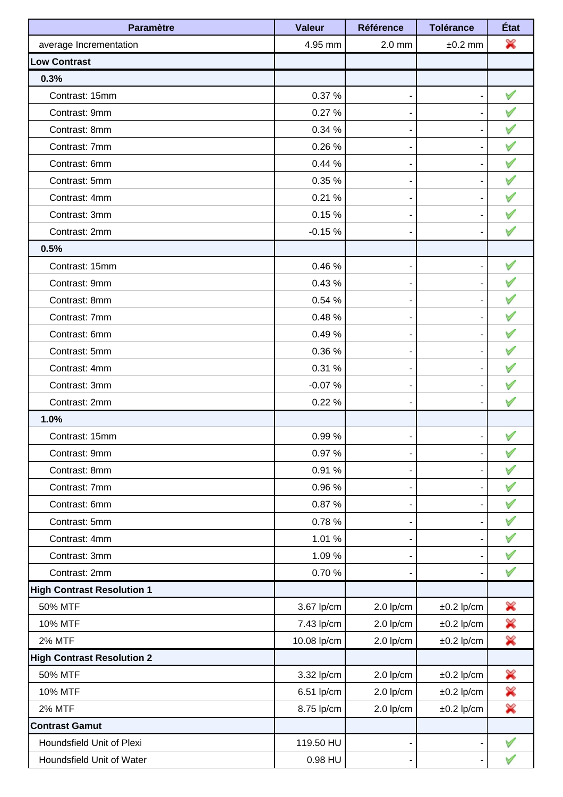| <b>Paramètre</b>                  | <b>Valeur</b> | <b>Référence</b> | <b>Tolérance</b> | État         |
|-----------------------------------|---------------|------------------|------------------|--------------|
| average Incrementation            | 4.95 mm       | $2.0$ mm         | $±0.2$ mm        | X            |
| <b>Low Contrast</b>               |               |                  |                  |              |
| 0.3%                              |               |                  |                  |              |
| Contrast: 15mm                    | 0.37 %        |                  |                  | $\checkmark$ |
| Contrast: 9mm                     | 0.27%         |                  |                  | $\bigvee$    |
| Contrast: 8mm                     | 0.34 %        |                  |                  | $\forall$    |
| Contrast: 7mm                     | 0.26%         |                  |                  | $\bigvee$    |
| Contrast: 6mm                     | 0.44%         |                  |                  | $\forall$    |
| Contrast: 5mm                     | 0.35 %        |                  |                  | $\bigvee$    |
| Contrast: 4mm                     | 0.21%         |                  |                  | $\bigvee$    |
| Contrast: 3mm                     | 0.15%         |                  |                  |              |
| Contrast: 2mm                     | $-0.15%$      |                  |                  |              |
| 0.5%                              |               |                  |                  |              |
| Contrast: 15mm                    | 0.46%         |                  |                  | $\checkmark$ |
| Contrast: 9mm                     | 0.43%         |                  |                  | $\forall$    |
| Contrast: 8mm                     | 0.54 %        |                  |                  | $\forall$    |
| Contrast: 7mm                     | 0.48%         |                  |                  | $\bigvee$    |
| Contrast: 6mm                     | 0.49%         |                  |                  | $\forall$    |
| Contrast: 5mm                     | 0.36%         |                  |                  | $\bigvee$    |
| Contrast: 4mm                     | 0.31 %        |                  |                  | $\mathbb V$  |
| Contrast: 3mm                     | $-0.07%$      |                  |                  |              |
| Contrast: 2mm                     | 0.22%         |                  |                  |              |
| 1.0%                              |               |                  |                  |              |
| Contrast: 15mm                    | 0.99%         |                  |                  |              |
| Contrast: 9mm                     | 0.97%         | -                |                  | $\checkmark$ |
| Contrast: 8mm                     | 0.91%         |                  |                  | $\bigvee$    |
| Contrast: 7mm                     | 0.96%         |                  |                  | $\bigvee$    |
| Contrast: 6mm                     | 0.87%         |                  |                  | $\checkmark$ |
| Contrast: 5mm                     | 0.78%         |                  |                  | $\bigvee$    |
| Contrast: 4mm                     | 1.01 %        |                  |                  | $\checkmark$ |
| Contrast: 3mm                     | 1.09%         |                  |                  | $\checkmark$ |
| Contrast: 2mm                     | 0.70%         |                  |                  | $\checkmark$ |
| <b>High Contrast Resolution 1</b> |               |                  |                  |              |
| 50% MTF                           | 3.67 lp/cm    | $2.0$ lp/cm      | $±0.2$ lp/cm     | ✖            |
| <b>10% MTF</b>                    | 7.43 lp/cm    | $2.0$ lp/cm      | $±0.2$ lp/cm     | ×            |
| <b>2% MTF</b>                     | 10.08 lp/cm   | $2.0$ lp/cm      | $±0.2$ lp/cm     | X            |
| <b>High Contrast Resolution 2</b> |               |                  |                  |              |
| 50% MTF                           | 3.32 lp/cm    | $2.0$ lp/cm      | $\pm 0.2$ lp/cm  | ╳            |
| <b>10% MTF</b>                    | 6.51 lp/cm    | $2.0$ lp/cm      | $±0.2$ lp/cm     | ×            |
| <b>2% MTF</b>                     | 8.75 lp/cm    | $2.0$ lp/cm      | $±0.2$ lp/cm     | X            |
| <b>Contrast Gamut</b>             |               |                  |                  |              |
| Houndsfield Unit of Plexi         | 119.50 HU     | ٠                |                  |              |
| Houndsfield Unit of Water         | 0.98 HU       |                  |                  | $\checkmark$ |